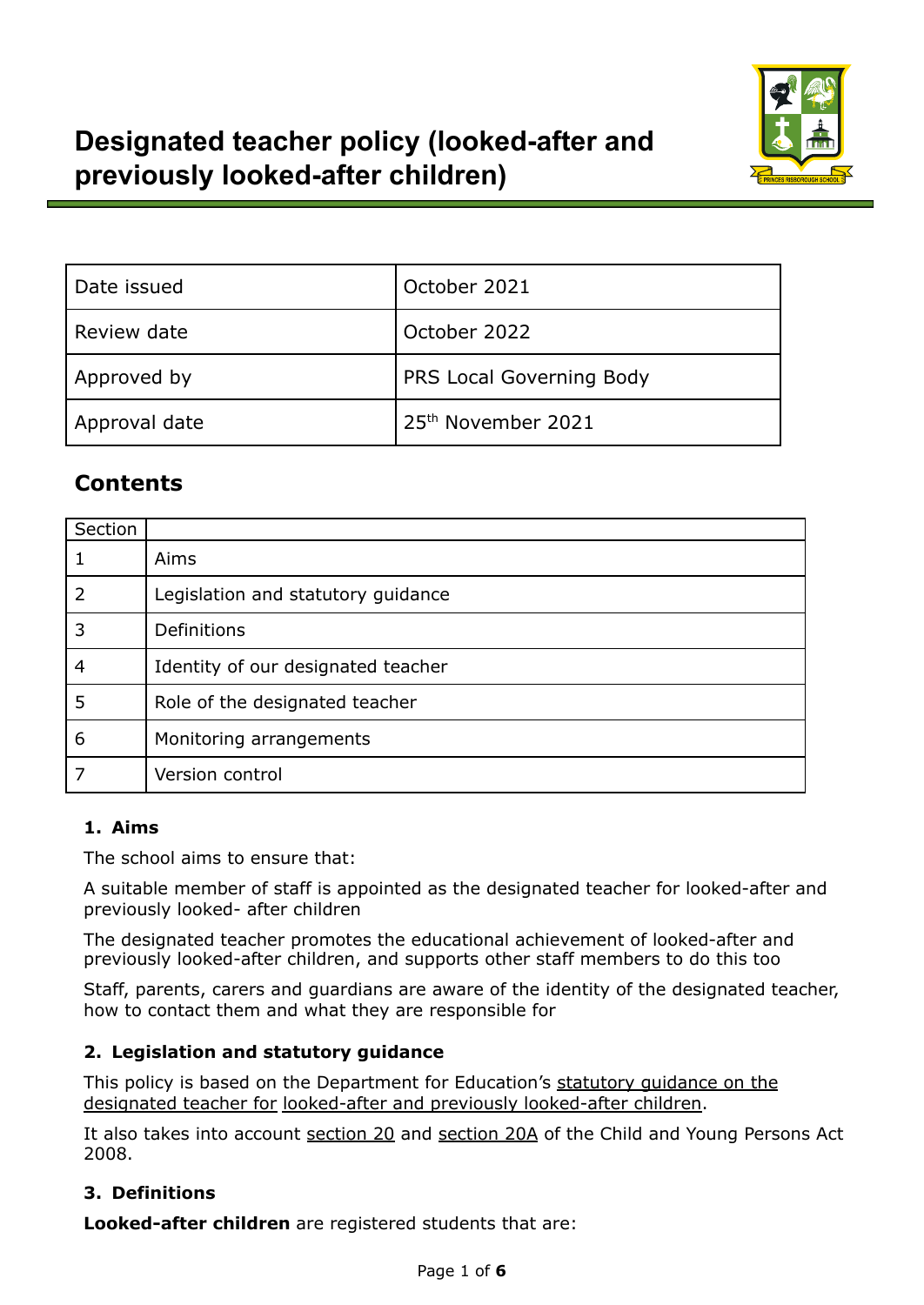

| Date issued   | October 2021             |  |
|---------------|--------------------------|--|
| Review date   | October 2022             |  |
| Approved by   | PRS Local Governing Body |  |
| Approval date | 25th November 2021       |  |

# **Contents**

| Section |                                    |
|---------|------------------------------------|
|         | Aims                               |
| 2       | Legislation and statutory guidance |
| 3       | Definitions                        |
| 4       | Identity of our designated teacher |
| 5       | Role of the designated teacher     |
| 6       | Monitoring arrangements            |
|         | Version control                    |

# **1. Aims**

The school aims to ensure that:

A suitable member of staff is appointed as the designated teacher for looked-after and previously looked- after children

The designated teacher promotes the educational achievement of looked-after and previously looked-after children, and supports other staff members to do this too

Staff, parents, carers and guardians are aware of the identity of the designated teacher, how to contact them and what they are responsible for

# **2. Legislation and statutory guidance**

This policy is based on the Department for Education's [statutory](https://www.gov.uk/government/publications/designated-teacher-for-looked-after-children) guidance on the [designated](https://www.gov.uk/government/publications/designated-teacher-for-looked-after-children) teacher for looked-after and previously [looked-after](https://www.gov.uk/government/publications/designated-teacher-for-looked-after-children) children.

It also takes into account [section](http://www.legislation.gov.uk/ukpga/2008/23/section/20A) 20 and section 20A of the Child and Young Persons Act 2008.

# **3. Definitions**

**Looked-after children** are registered students that are: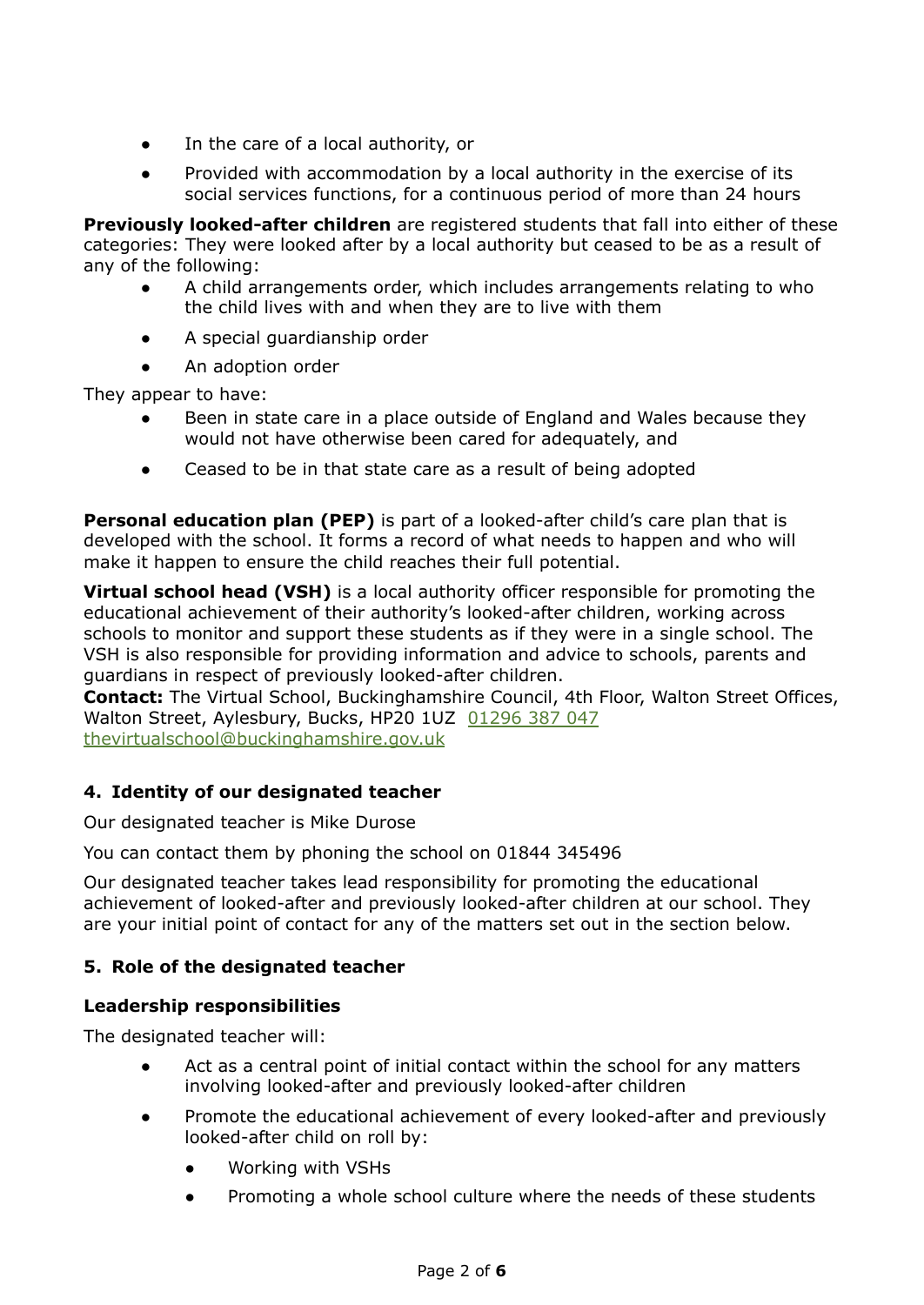- In the care of a local authority, or
- Provided with accommodation by a local authority in the exercise of its social services functions, for a continuous period of more than 24 hours

**Previously looked-after children** are registered students that fall into either of these categories: They were looked after by a local authority but ceased to be as a result of any of the following:

- A child arrangements order, which includes arrangements relating to who the child lives with and when they are to live with them
- A special guardianship order
- An adoption order

They appear to have:

- Been in state care in a place outside of England and Wales because they would not have otherwise been cared for adequately, and
- Ceased to be in that state care as a result of being adopted

**Personal education plan (PEP)** is part of a looked-after child's care plan that is developed with the school. It forms a record of what needs to happen and who will make it happen to ensure the child reaches their full potential.

**Virtual school head (VSH)** is a local authority officer responsible for promoting the educational achievement of their authority's looked-after children, working across schools to monitor and support these students as if they were in a single school. The VSH is also responsible for providing information and advice to schools, parents and guardians in respect of previously looked-after children.

**Contact:** The Virtual School, Buckinghamshire Council, 4th Floor, Walton Street Offices, Walton Street, Aylesbury, Bucks, HP20 1UZ [01296](https://www.buckscc.gov.uk/services/education/schools/the-virtual-school/contact-the-virtual-school/01296387047) 387 047 [thevirtualschool@buckinghamshire.gov.uk](mailto:thevirtualschool@buckinghamshire.gov.uk)

### **4. Identity of our designated teacher**

Our designated teacher is Mike Durose

You can contact them by phoning the school on 01844 345496

Our designated teacher takes lead responsibility for promoting the educational achievement of looked-after and previously looked-after children at our school. They are your initial point of contact for any of the matters set out in the section below.

#### **5. Role of the designated teacher**

#### **Leadership responsibilities**

The designated teacher will:

- Act as a central point of initial contact within the school for any matters involving looked-after and previously looked-after children
- Promote the educational achievement of every looked-after and previously looked-after child on roll by:
	- Working with VSHs
	- Promoting a whole school culture where the needs of these students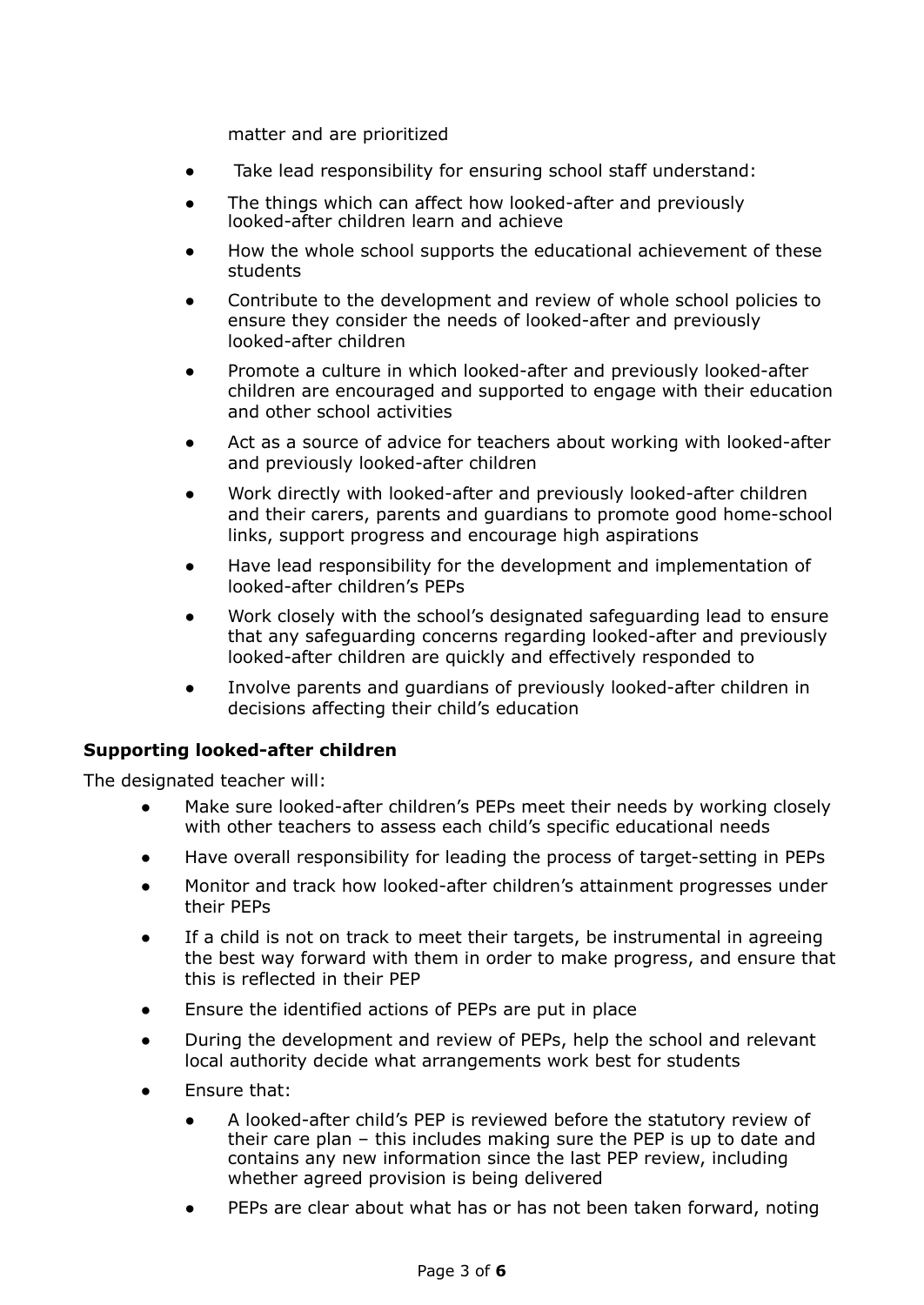matter and are prioritized

- Take lead responsibility for ensuring school staff understand:
- The things which can affect how looked-after and previously looked-after children learn and achieve
- How the whole school supports the educational achievement of these students
- Contribute to the development and review of whole school policies to ensure they consider the needs of looked-after and previously looked-after children
- Promote a culture in which looked-after and previously looked-after children are encouraged and supported to engage with their education and other school activities
- Act as a source of advice for teachers about working with looked-after and previously looked-after children
- Work directly with looked-after and previously looked-after children and their carers, parents and guardians to promote good home-school links, support progress and encourage high aspirations
- Have lead responsibility for the development and implementation of looked-after children's PEPs
- Work closely with the school's designated safeguarding lead to ensure that any safeguarding concerns regarding looked-after and previously looked-after children are quickly and effectively responded to
- Involve parents and guardians of previously looked-after children in decisions affecting their child's education

#### **Supporting looked-after children**

The designated teacher will:

- Make sure looked-after children's PEPs meet their needs by working closely with other teachers to assess each child's specific educational needs
- Have overall responsibility for leading the process of target-setting in PEPs
- Monitor and track how looked-after children's attainment progresses under their PEPs
- If a child is not on track to meet their targets, be instrumental in agreeing the best way forward with them in order to make progress, and ensure that this is reflected in their PEP
- Ensure the identified actions of PEPs are put in place
- During the development and review of PEPs, help the school and relevant local authority decide what arrangements work best for students
- Ensure that:
	- A looked-after child's PEP is reviewed before the statutory review of their care plan – this includes making sure the PEP is up to date and contains any new information since the last PEP review, including whether agreed provision is being delivered
	- PEPs are clear about what has or has not been taken forward, noting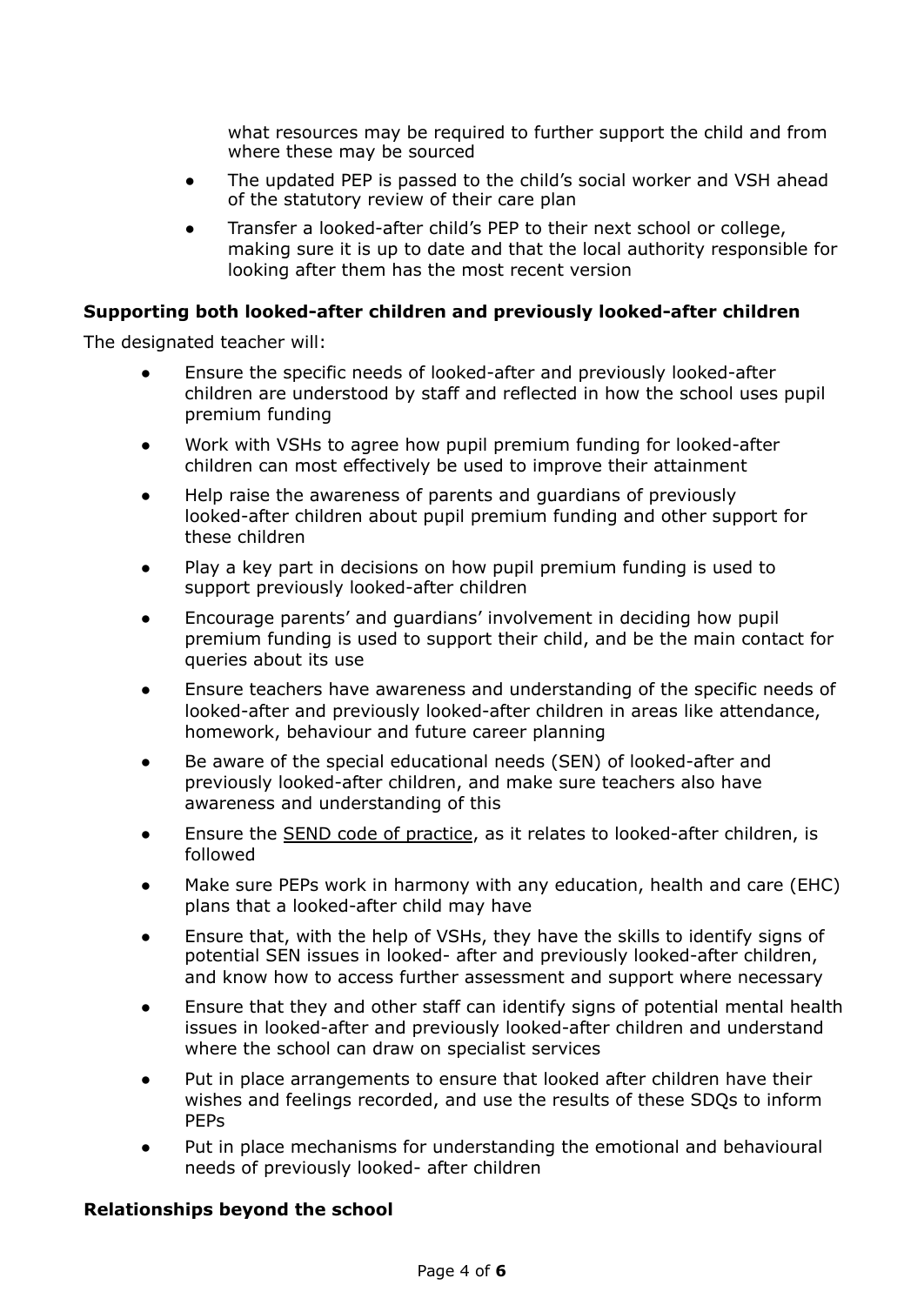what resources may be required to further support the child and from where these may be sourced

- The updated PEP is passed to the child's social worker and VSH ahead of the statutory review of their care plan
- Transfer a looked-after child's PEP to their next school or college, making sure it is up to date and that the local authority responsible for looking after them has the most recent version

#### **Supporting both looked-after children and previously looked-after children**

The designated teacher will:

- Ensure the specific needs of looked-after and previously looked-after children are understood by staff and reflected in how the school uses pupil premium funding
- Work with VSHs to agree how pupil premium funding for looked-after children can most effectively be used to improve their attainment
- Help raise the awareness of parents and guardians of previously looked-after children about pupil premium funding and other support for these children
- Play a key part in decisions on how pupil premium funding is used to support previously looked-after children
- Encourage parents' and guardians' involvement in deciding how pupil premium funding is used to support their child, and be the main contact for queries about its use
- Ensure teachers have awareness and understanding of the specific needs of looked-after and previously looked-after children in areas like attendance, homework, behaviour and future career planning
- Be aware of the special educational needs (SEN) of looked-after and previously looked-after children, and make sure teachers also have awareness and understanding of this
- Ensure the SEND code of [practice,](https://www.gov.uk/government/publications/send-code-of-practice-0-to-25) as it relates to looked-after children, is followed
- Make sure PEPs work in harmony with any education, health and care (EHC) plans that a looked-after child may have
- Ensure that, with the help of VSHs, they have the skills to identify signs of potential SEN issues in looked- after and previously looked-after children, and know how to access further assessment and support where necessary
- Ensure that they and other staff can identify signs of potential mental health issues in looked-after and previously looked-after children and understand where the school can draw on specialist services
- Put in place arrangements to ensure that looked after children have their wishes and feelings recorded, and use the results of these SDQs to inform PEPs
- Put in place mechanisms for understanding the emotional and behavioural needs of previously looked- after children

#### **Relationships beyond the school**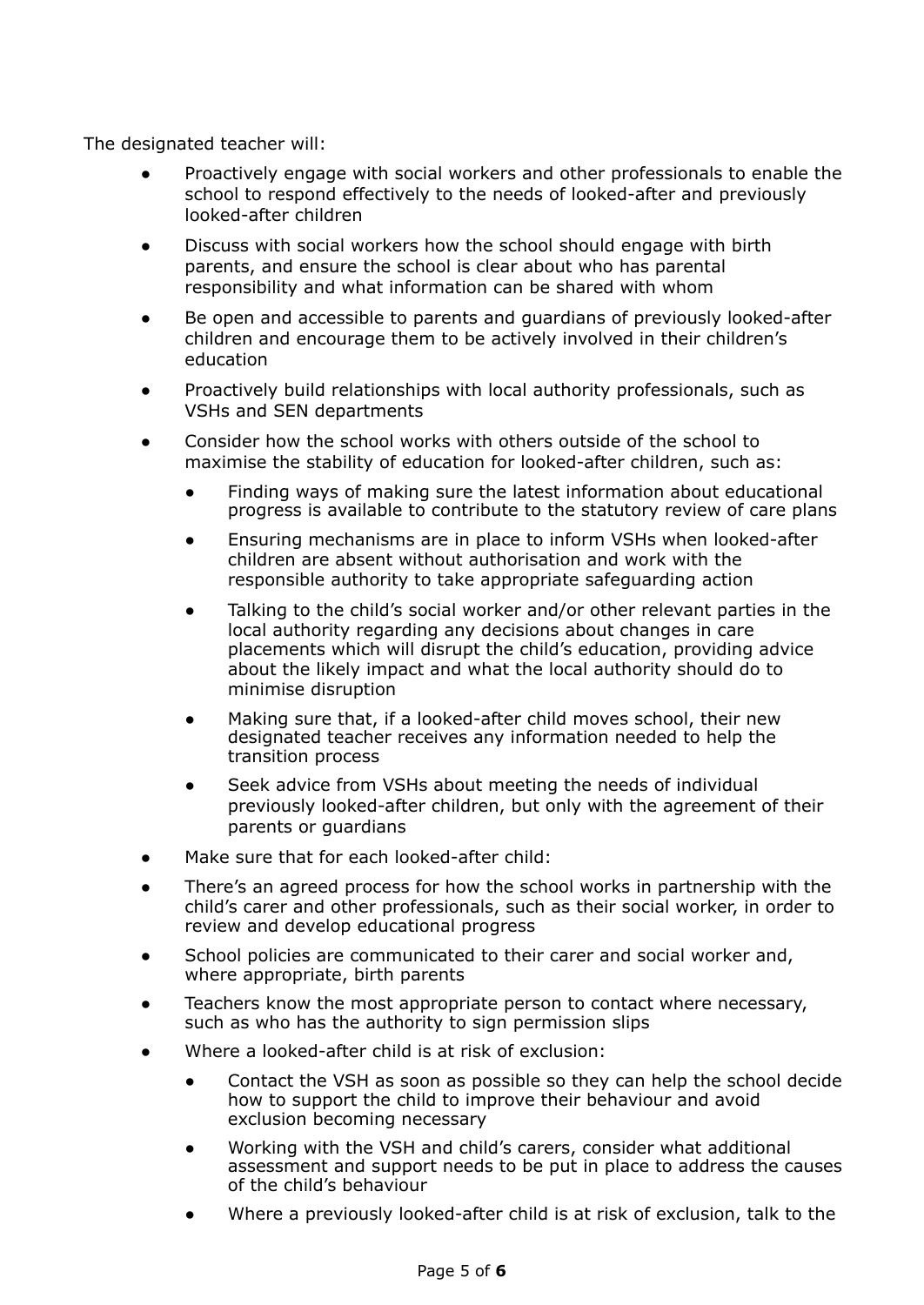The designated teacher will:

- Proactively engage with social workers and other professionals to enable the school to respond effectively to the needs of looked-after and previously looked-after children
- Discuss with social workers how the school should engage with birth parents, and ensure the school is clear about who has parental responsibility and what information can be shared with whom
- Be open and accessible to parents and guardians of previously looked-after children and encourage them to be actively involved in their children's education
- Proactively build relationships with local authority professionals, such as VSHs and SEN departments
- Consider how the school works with others outside of the school to maximise the stability of education for looked-after children, such as:
	- Finding ways of making sure the latest information about educational progress is available to contribute to the statutory review of care plans
	- Ensuring mechanisms are in place to inform VSHs when looked-after children are absent without authorisation and work with the responsible authority to take appropriate safeguarding action
	- Talking to the child's social worker and/or other relevant parties in the local authority regarding any decisions about changes in care placements which will disrupt the child's education, providing advice about the likely impact and what the local authority should do to minimise disruption
	- Making sure that, if a looked-after child moves school, their new designated teacher receives any information needed to help the transition process
	- Seek advice from VSHs about meeting the needs of individual previously looked-after children, but only with the agreement of their parents or guardians
- Make sure that for each looked-after child:
- There's an agreed process for how the school works in partnership with the child's carer and other professionals, such as their social worker, in order to review and develop educational progress
- School policies are communicated to their carer and social worker and, where appropriate, birth parents
- Teachers know the most appropriate person to contact where necessary, such as who has the authority to sign permission slips
- Where a looked-after child is at risk of exclusion:
	- Contact the VSH as soon as possible so they can help the school decide how to support the child to improve their behaviour and avoid exclusion becoming necessary
	- Working with the VSH and child's carers, consider what additional assessment and support needs to be put in place to address the causes of the child's behaviour
	- Where a previously looked-after child is at risk of exclusion, talk to the